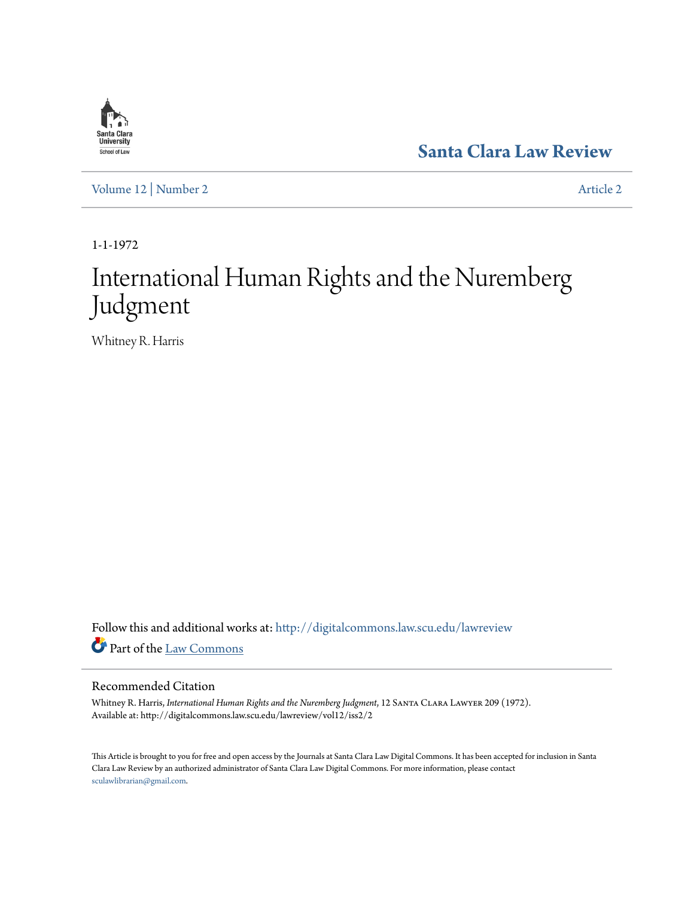

**[Santa Clara Law Review](http://digitalcommons.law.scu.edu/lawreview?utm_source=digitalcommons.law.scu.edu%2Flawreview%2Fvol12%2Fiss2%2F2&utm_medium=PDF&utm_campaign=PDFCoverPages)**

[Volume 12](http://digitalcommons.law.scu.edu/lawreview/vol12?utm_source=digitalcommons.law.scu.edu%2Flawreview%2Fvol12%2Fiss2%2F2&utm_medium=PDF&utm_campaign=PDFCoverPages) | [Number 2](http://digitalcommons.law.scu.edu/lawreview/vol12/iss2?utm_source=digitalcommons.law.scu.edu%2Flawreview%2Fvol12%2Fiss2%2F2&utm_medium=PDF&utm_campaign=PDFCoverPages) [Article 2](http://digitalcommons.law.scu.edu/lawreview/vol12/iss2/2?utm_source=digitalcommons.law.scu.edu%2Flawreview%2Fvol12%2Fiss2%2F2&utm_medium=PDF&utm_campaign=PDFCoverPages)

1-1-1972

# International Human Rights and the Nuremberg Judgment

Whitney R. Harris

Follow this and additional works at: [http://digitalcommons.law.scu.edu/lawreview](http://digitalcommons.law.scu.edu/lawreview?utm_source=digitalcommons.law.scu.edu%2Flawreview%2Fvol12%2Fiss2%2F2&utm_medium=PDF&utm_campaign=PDFCoverPages) Part of the [Law Commons](http://network.bepress.com/hgg/discipline/578?utm_source=digitalcommons.law.scu.edu%2Flawreview%2Fvol12%2Fiss2%2F2&utm_medium=PDF&utm_campaign=PDFCoverPages)

#### Recommended Citation

Whitney R. Harris, *International Human Rights and the Nuremberg Judgment*, 12 Santa Clara Lawyer 209 (1972). Available at: http://digitalcommons.law.scu.edu/lawreview/vol12/iss2/2

This Article is brought to you for free and open access by the Journals at Santa Clara Law Digital Commons. It has been accepted for inclusion in Santa Clara Law Review by an authorized administrator of Santa Clara Law Digital Commons. For more information, please contact [sculawlibrarian@gmail.com](mailto:sculawlibrarian@gmail.com).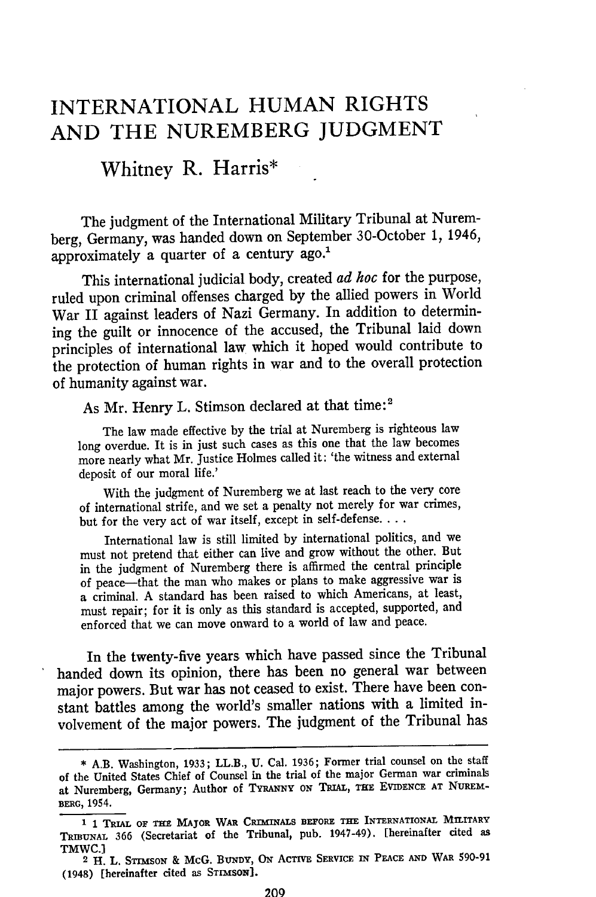# **INTERNATIONAL HUMAN** RIGHTS **AND** THE NUREMBERG **JUDGMENT**

# Whitney R. Harris\*

The judgment of the International Military Tribunal at Nuremberg, Germany, was handed down on September 30-October 1, 1946, approximately a quarter of a century ago.<sup>1</sup>

This international judicial body, created *ad hoc* for the purpose, ruled upon criminal offenses charged by the allied powers in World War II against leaders of Nazi Germany. In addition to determining the guilt or innocence of the accused, the Tribunal laid down principles of international law which it hoped would contribute to the protection of human rights in war and to the overall protection of humanity against war.

As Mr. Henry L. Stimson declared at that time:<sup>2</sup>

The law made effective by the trial at Nuremberg is righteous law long overdue. It is in just such cases as this one that the law becomes more nearly what Mr. Justice Holmes called it: 'the witness and external deposit of our moral life.'

With the judgment of Nuremberg we at last reach to the very core of international strife, and we set a penalty not merely for war crimes, but for the very act of war itself, except in self-defense....

International law is still limited by international politics, and we must not pretend that either can live and grow without the other. But in the judgment of Nuremberg there is affirmed the central principle of peace-that the man who makes or plans to make aggressive war is a criminal. A standard has been raised to which Americans, at least, must repair; for it is only as this standard is accepted, supported, and enforced that we can move onward to a world of law and peace.

In the twenty-five years which have passed since the Tribunal handed down its opinion, there has been no general war between major powers. But war has not ceased to exist. There have been constant battles among the world's smaller nations with a limited involvement of the major powers. The judgment of the Tribunal has

**<sup>\*</sup>** A.B. Washington, 1933; LL.B., U. Cal. 1936; Former trial counsel on the staff of the United States Chief of Counsel in the trial of the major German war criminals at Nuremberg, Germany; Author of **TYRANNY ON TRIAL, THE** EVIDENCE **AT** NUREM-**BERG,** 1954.

**<sup>1 1</sup> TRIAL OF THE** MAJOR **WAR CRIMNALS BEFORE THE INTERNATIONAL MILITARY** TRIBUNAL **<sup>366</sup>**(Secretariat of the Tribunal, pub. 1947-49). [hereinafter cited as TMWC.]

**<sup>2</sup>** H. L. STrMsoN & McG. **BUNDY, ON ACTIVE SERVICE IN PEACE AND WAR** 590-91 (1948) [hereinafter cited as **STIMSON].**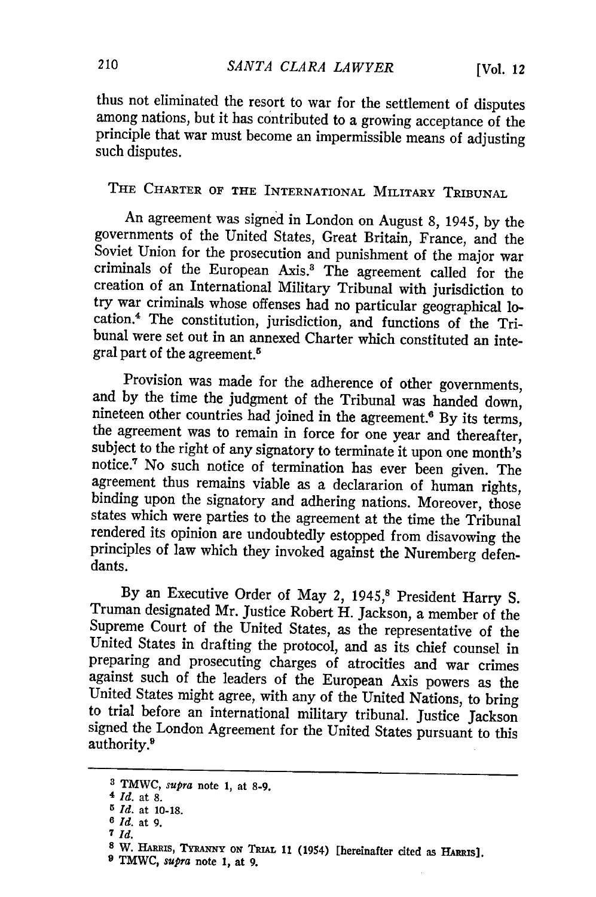thus not eliminated the resort to war for the settlement of disputes among nations, but it has contributed to a growing acceptance of the principle that war must become an impermissible means of adjusting such disputes.

# THE CHARTER **OF** THE INTERNATIONAL MILITARY TRIBUNAL

An agreement was signed in London on August 8, 1945, by the governments of the United States, Great Britain, France, and the Soviet Union for the prosecution and punishment of the major war criminals of the European Axis.' The agreement called for the creation of an International Military Tribunal with jurisdiction to cation.<sup>4</sup> The constitution, jurisdiction, and functions of the Tri-<br>bunal were set out in an annexed Charter which constituted an integral part of the agreement.5

Provision was made for the adherence of other governments,<br>and by the time the judgment of the Tribunal was handed down,<br>nineteen other countries had joined in the agreement.<sup>6</sup> By its terms,<br>the agreement was to remain i notice.' No such notice of termination has ever been given. The agreement thus remains viable as a declararion of human rights, binding upon the signatory and adhering nations. Moreover, those states which were parties to the agreement at the time the Tribunal rendered its opinion are undoubtedly estopped from disavowing the principles of law which they invoked against the Nuremberg defendants.

By an Executive Order of May 2, 1945,<sup>8</sup> President Harry S. Truman designated Mr. Justice Robert H. Jackson, a member of the Supreme Court of the United States, as the representative of the United States in drafting the protocol, and as its chief counsel in preparing and prosecuting charges of atrocities and war crimes United States might agree, with any of the United Nations, to bring to trial before an international military tribunal. Justice Jackson signed the London Agreement for the United States pursuant to this authority.<sup>9</sup>

**<sup>3</sup> TMWC,** *supra* note **1, at 8-9.**

<sup>4</sup> *Id.* at **8.**

*<sup>5</sup> Id.* at **10-18.**

*<sup>6</sup> Id.* **at 9. 7** *Id.*

<sup>8</sup> W. HARRIS, TYRANNY ON TRIAL 11 (1954) [hereinafter cited as HARRIS].

**<sup>9</sup> TMWC,** *supra* **note 1, at 9.**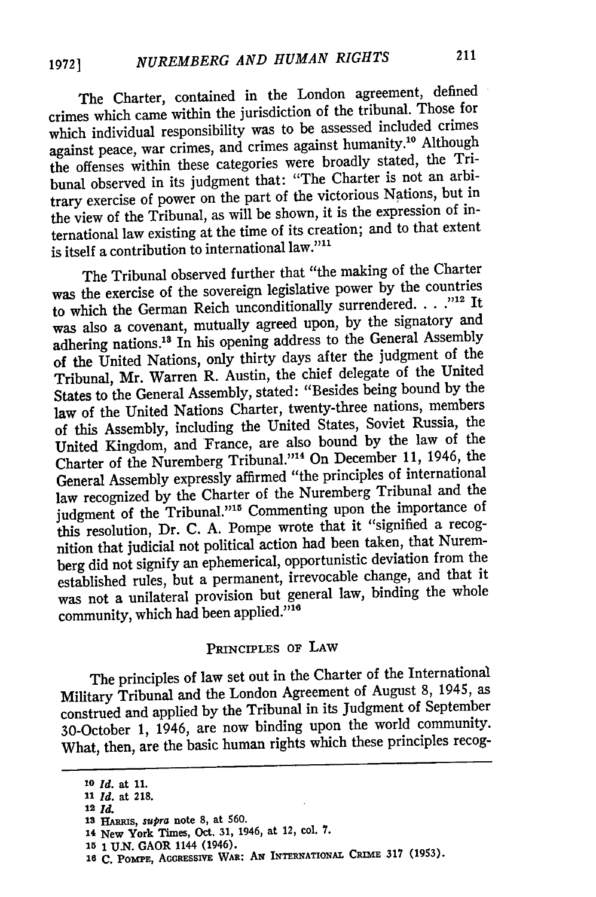The Charter, contained in the London agreement, defined crimes which came within the jurisdiction of the tribunal. Those for which individual responsibility was to be assessed included crimes against peace, war crimes, and crimes against humanity.'0 Although the offenses within these categories were broadly stated, the Tribunal observed in its judgment that: "The Charter is not an arbitrary exercise of power on the part of the victorious Nations, but in the view of the Tribunal, as will be shown, it is the expression of international law existing at the time of its creation; and to that extent is itself a contribution to international law."<sup>11</sup>

The Tribunal observed further that "the making of the Charter was the exercise of the sovereign legislative power by the countries to which the German Reich unconditionally surrendered. . . .<sup>712</sup> It was also a covenant, mutually agreed upon, by the signatory and adhering nations.<sup>18</sup> In his opening address to the General Assembly of the United Nations, only thirty days after the judgment of the Tribunal, Mr. Warren R. Austin, the chief delegate of the United States to the General Assembly, stated: "Besides being bound by the law of the United Nations Charter, twenty-three nations, members of this Assembly, including the United States, Soviet Russia, the United Kingdom, and France, are also bound by the law of the Charter of the Nuremberg Tribunal."<sup>14</sup> On December 11, 1946, the General Assembly expressly affirmed "the principles of international law recognized by the Charter of the Nuremberg Tribunal and the judgment of the Tribunal."<sup>15</sup> Commenting upon the importance of this resolution, Dr. C. A. Pompe wrote that it "signified a recognition that judicial not political action had been taken, that Nuremberg did not signify an ephemerical, opportunistic deviation from the established rules, but a permanent, irrevocable change, and that it was not a unilateral provision but general law, binding the whole community, which had been applied."<sup>16</sup>

#### PRINCIPLES OF LAW

The principles of law set out in the Charter of the International Military Tribunal and the London Agreement of August **8,** 1945, as construed and applied by the Tribunal in its Judgment of September 30-October **1,** 1946, are now binding upon the world community. What, then, are the basic human rights which these principles recog-

**12** *Id.*

**<sup>10</sup>***Id.* at **11.**

*<sup>11</sup> Id.* at **218.**

**<sup>13</sup>***HARRms,* supra **note 8,** at **560.**

**<sup>14</sup>New York** Times, Oct. **31,** 1946, at 12, col. **7.**

**<sup>15</sup>**1 **U.N. GAOR** 1144 (1946).

<sup>16</sup> C. POMPE, ACCRESSIVE WAR: AN INTERNATIONAL CRIME 317 (1953).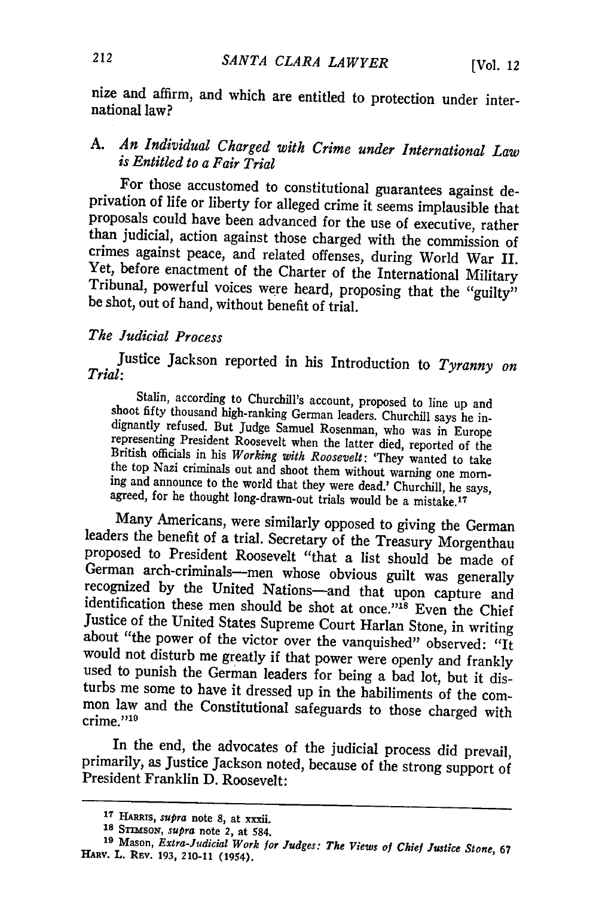nize and affirm, and which are entitled to protection under international law?

## A. *An Individual Charged with Crime under International Law is Entitled to a Fair Trial*

For those accustomed to constitutional guarantees against de-<br>privation of life or liberty for alleged crime it seems implausible that<br>proposals could have been advanced for the use of executive, rather<br>than judicial, acti

#### *The Judicial Process*

Justice Jackson reported in his Introduction to *Tyranny on Trial:*

Stalin, according to Churchill's account, proposed to line up and<br>shoot fifty thousand high-ranking German leaders. Churchill says he in-<br>dignantly refused. But Judge Samuel Rosenman, who was in Europe<br>representing Preside

Many Americans, were similarly opposed to giving the German<br>leaders the benefit of a trial. Secretary of the Treasury Morgenthau<br>proposed to President Roosevelt "that a list should be made of<br>German arch-criminals—men whos mon law and the Constitutional safeguards to those charged with  $\frac{1}{100}$   $\frac{1}{10}$ 

In the end, the advocates of the judicial process did prevail, primarily, as Justice Jackson noted, because of the strong support of President Franklin D. Roosevelt:

**<sup>17</sup>HARRIs,** *supra* note **8, at** xxxii.

**<sup>18</sup> STimsoN,** *supra* **note 2, at 584.**

**<sup>19</sup>**Mason, *Extra-Judicial Work for Judges: The Views of Chief Justice Stone, 67* **HARV. L.** REv. **193,** 210-11 (1954).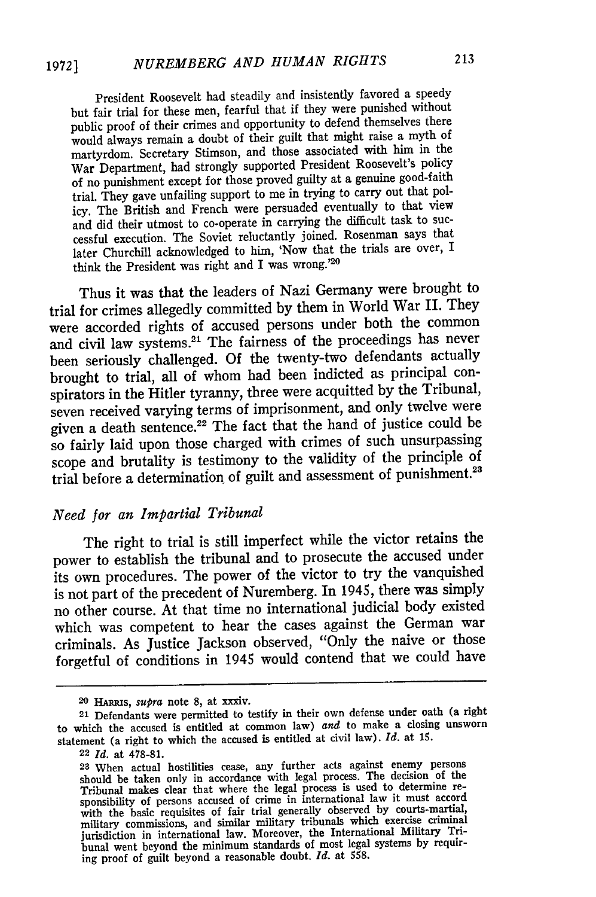President Roosevelt had steadily and insistently favored a speedy but fair trial for these men, fearful that if they were punished without public proof of their crimes and opportunity to defend themselves there would always remain a doubt of their guilt that might raise a myth of martyrdom. Secretary Stimson, and those associated with him in the War Department, had strongly supported President Roosevelt's policy of no punishment except for those proved guilty at a genuine good-faith trial. They gave unfailing support to me in trying to carry out that policy. The British and French were persuaded eventually to that view and did their utmost to co-operate in carrying the difficult task to successful execution. The Soviet reluctantly joined. Rosenman says that later Churchill acknowledged to him, 'Now that the trials are over, I think the President was right and I was wrong.'<sup>20</sup>

Thus it was that the leaders of Nazi Germany were brought to trial for crimes allegedly committed by them in World War II. They were accorded rights of accused persons under both the common and civil law systems.21 The fairness of the proceedings has never been seriously challenged. Of the twenty-two defendants actually brought to trial, all of whom had been indicted as principal conspirators in the Hitler tyranny, three were acquitted by the Tribunal, seven received varying terms of imprisonment, and only twelve were given a death sentence.<sup>22</sup> The fact that the hand of justice could be so fairly laid upon those charged with crimes of such unsurpassing scope and brutality is testimony to the validity of the principle of trial before a determination of guilt and assessment of punishment.<sup>23</sup>

#### *Need for an Impartial Tribunal*

The right to trial is still imperfect while the victor retains the power to establish the tribunal and to prosecute the accused under its own procedures. The power of the victor to try the vanquished is not part of the precedent of Nuremberg. In 1945, there was simply no other course. At that time no international judicial body existed which was competent to hear the cases against the German war criminals. As Justice Jackson observed, "Only the naive or those forgetful of conditions in 1945 would contend that we could have

**<sup>20</sup> HARRis,** *supra* note **8,** at xxxiv.

**<sup>21</sup>**Defendants were permitted to testify in their own defense under oath (a right to which the accused is entitled at common law) *and* to make a closing unsworn statement (a right to which the accused is entitled at civil law). *Id.* at **1.**

**<sup>22</sup>** *Id.* at 478-81.

**<sup>23</sup>**When actual hostilities cease, any further acts against enemy persons should be taken only in accordance with legal process. The decision of the Tribunal makes clear that where the legal process is used to determine re-<br>sponsibility of persons accused of crime in international law it must accordial with the basic requisites of fair trial generally observed by courts-martial military commissions, and similar military tribunals which exercise criminal jurisdiction in international law. Moreover, the International Military Tribunal went beyond the minimum standards of most legal systems by requiring proof of guilt beyond a reasonable doubt. *Id.* at **558.**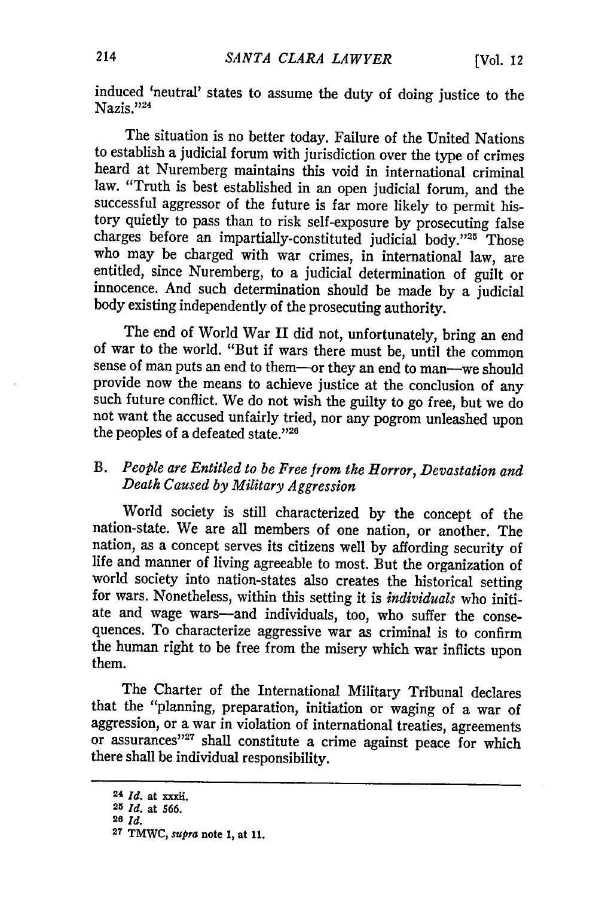induced 'neutral' states to assume the duty of doing justice to the Nazis."24

The situation is no better today. Failure of the United Nations to establish a judicial forum with jurisdiction over the type of crimes heard at Nuremberg maintains this void in international criminal law. "Truth is best established in an open judicial forum, and the successful aggressor of the future is far more likely to permit history quietly to pass than to risk self-exposure by prosecuting false charges before an impartially-constituted judicial body."25 Those who may be charged with war crimes, in international law, are entitled, since Nuremberg, to a judicial determination of guilt or innocence. And such determination should be made by a judicial body existing independently of the prosecuting authority.

The end of World War II did not, unfortunately, bring an end of war to the world. "But if wars there must be, until the common sense of man puts an end to them—or they an end to man—we should<br>provide now the means to achieve justice at the conclusion of any such future conflict. We do not wish the guilty to go free, but we do not want the accused unfairly tried, nor any pogrom unleashed upon the peoples of a defeated state."26

### *B. People are Entitled to be Free from the Horror, Devastation and Death Caused by Military Aggression*

World society is still characterized **by** the concept of the nation-state. We are all members of one nation, or another. The nation, as a concept serves its citizens well **by** affording security of life and manner of living agreeable to most. But the organization of world society into nation-states also creates the historical setting for wars. Nonetheless, within this setting it is *individuals* who initiate and wage wars-and individuals, too, who suffer the consequences. To characterize aggressive war as criminal is to confirm the human right to be free from the misery which war inflicts upon them.

The Charter of the International Military Tribunal declares that the "planning, preparation, initiation or waging of a war of aggression, or a war in violation of international treaties, agreements or assurances"<sup>27</sup> shall constitute a crime against peace for which there shall be individual responsibility.

<sup>24</sup> *1d.* at xxxii.

**<sup>25</sup>** *Id.* at **566.**

**<sup>26</sup>** *Id.*

**<sup>27</sup> TMWC,** *supra* note **1,** at **11.**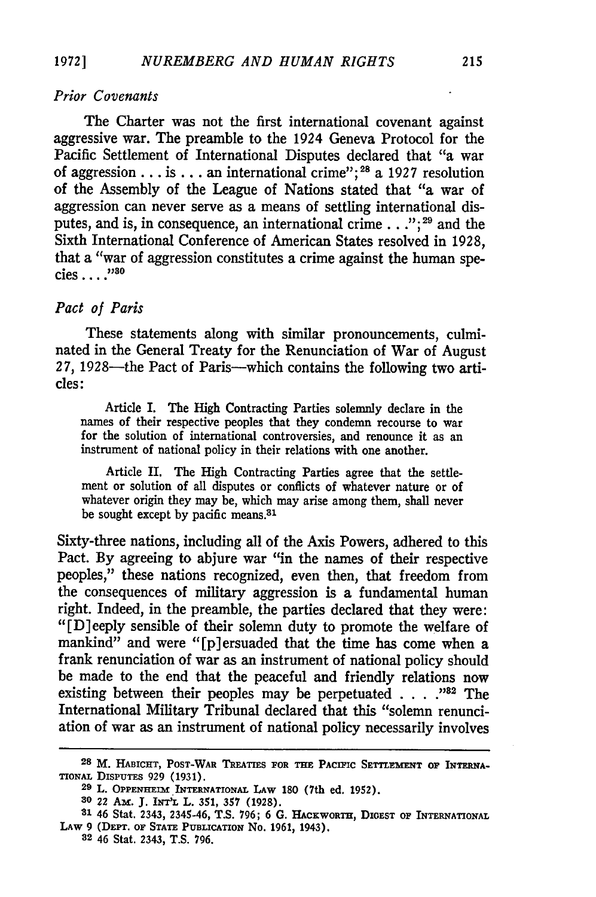#### *Prior Covenants*

The Charter was not the first international covenant against aggressive war. The preamble to the 1924 Geneva Protocol for the Pacific Settlement of International Disputes declared that "a war of aggression **...** is **...** an international crime"; 28 a **1927** resolution of the Assembly of the League of Nations stated that "a war of aggression can never serve as a means of settling international disputes, and is, in consequence, an international **crime...";29** and the Sixth International Conference of American States resolved in **1928,** that a "war of aggression constitutes a crime against the human species **.... ;73o**

#### *Pact of Paris*

These statements along with similar pronouncements, culminated in the General Treaty for the Renunciation of War of August 27, 1928—the Pact of Paris—which contains the following two articles:

Article I. The High Contracting Parties solemnly declare in **the** names of their respective peoples that they condemn recourse to war for the solution of international controversies, and renounce it as an instrument of national policy in their relations with one another.

Article II. The High Contracting Parties agree that the settlement or solution of all disputes or conflicts of whatever nature or of whatever origin they may be, which may arise among them, shall never be sought except by pacific means.<sup>31</sup>

Sixty-three nations, including all of the Axis Powers, adhered to this Pact. By agreeing to abjure war "in the names of their respective peoples," these nations recognized, even then, that freedom from the consequences of military aggression is a fundamental human right. Indeed, in the preamble, the parties declared that they were: "[D]eeply sensible of their solemn duty to promote the welfare of mankind" and were "[p]ersuaded that the time has come when a frank renunciation of war as an instrument of national policy should be made to the end that the peaceful and friendly relations now existing between their peoples may be perpetuated . . . . .<sup>132</sup> The International Military Tribunal declared that this "solemn renunciation of war as an instrument of national policy necessarily involves

**<sup>28</sup> M. HABICHT, POST-WAR TREATIES FOR THE PACIFIC SETTLEMENT OF INTERNA-TIoNAL DispuTEs 929 (1931). <sup>29</sup>**L. **OPPENHEIM** INTERNATIONAL **LAW 180 (7th** ed. **1952).**

**<sup>30 22</sup> Am. J. INTIL L. 351, 357 (1928).**

**<sup>81 46</sup> Stat. 2343,** 2345-46, **T.S. 796; 6 G. HAcKWORTHr, DIGEST OF INTERNATIONAL LAW 9 (DEPr. oF STATE PUBLICATION No. 1961, 1943). 32 46 Stat. 2343, T.S. 796.**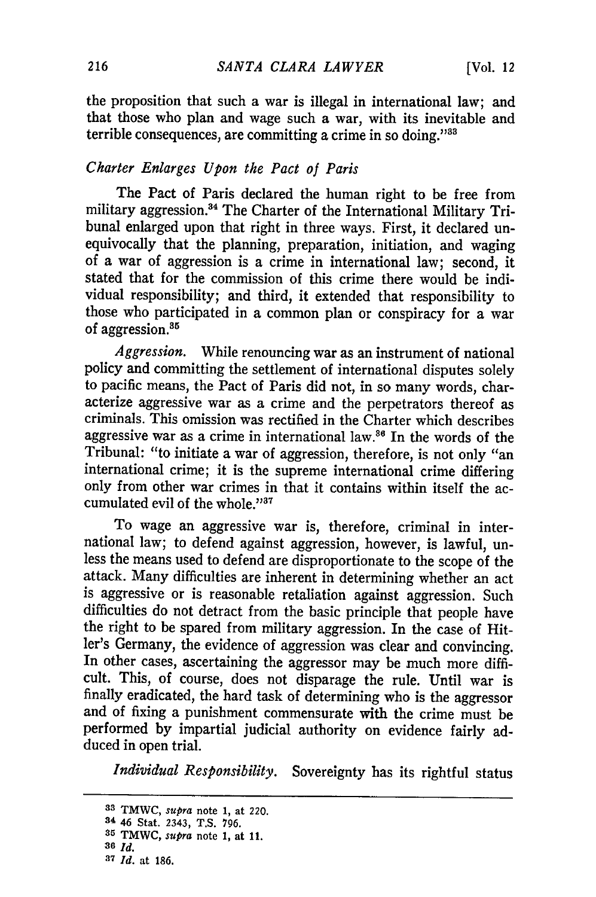the proposition that such a war is illegal in international law; and that those who plan and wage such a war, with its inevitable and terrible consequences, are committing a crime in so doing." $38$ 

#### *Charter Enlarges Upon the Pact of Paris*

The Pact of Paris declared the human right to be free from military aggression.<sup>34</sup> The Charter of the International Military Tribunal enlarged upon that right in three ways. First, it declared un-equivocally that the planning, preparation, initiation, and waging of a war of aggression is a crime in international law; second, it stated that for the commission of this crime there would be individual responsibility; and third, it extended that responsibility to those who participated in a common plan or conspiracy for a war of aggression.<sup>35</sup>

*Aggression.* While renouncing war as an instrument of national policy and committing the settlement of international disputes solely to pacific means, the Pact of Paris did not, in so many words, characterize aggressive war as a crime and the perpetrators thereof as criminals. This omission was rectified in the Charter which describes aggressive war as a crime in international law. $86$  In the words of the Tribunal: "to initiate a war of aggression, therefore, is not only "an international crime; it is the supreme international crime differing only from other war crimes in that it contains within itself the accumulated evil of the whole." $37$ 

To wage an aggressive war is, therefore, criminal in international law; to defend against aggression, however, is lawful, unless the means used to defend are disproportionate to the scope of the attack. Many difficulties are inherent in determining whether an act is aggressive or is reasonable retaliation against aggression. Such difficulties do not detract from the basic principle that people have the right to be spared from military aggression. In the case of Hitler's Germany, the evidence of aggression was clear and convincing. In other cases, ascertaining the aggressor may be much more difficult. This, of course, does not disparage the rule. Until war is finally eradicated, the hard task of determining who is the aggressor and of fixing a punishment commensurate with the crime must be performed by impartial judicial authority on evidence fairly adduced in open trial.

*Individual Responsibility.* Sovereignty has its rightful status

**<sup>33</sup>**TMWC, *supra* note 1, **at** 220.

**<sup>34</sup>**46 **Stat. 2343, T.S.** 796.

**<sup>35</sup>**TMWC, *supra* **note 1, at 11.**

*<sup>30</sup>Id.* **.7** *Id.* at **186.**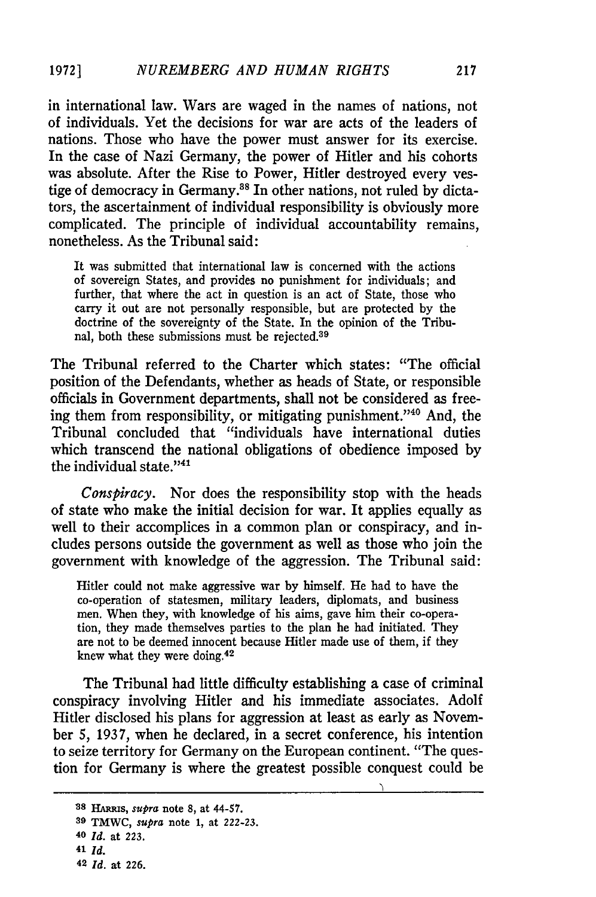in international law. Wars are waged in the names of nations, not of individuals. Yet the decisions for war are acts of the leaders of nations. Those who have the power must answer for its exercise. In the case of Nazi Germany, the power of Hitler and his cohorts was absolute. After the Rise to Power, Hitler destroyed every vestige of democracy in Germany.<sup>38</sup> In other nations, not ruled by dictators, the ascertainment of individual responsibility is obviously more complicated. The principle of individual accountability remains, nonetheless. As the Tribunal said:

It was submitted that international law is concerned with the actions of sovereign States, and provides no punishment for individuals; and further, that where the act in question is an act of State, those who carry it out are not personally responsible, but are protected by the doctrine of the sovereignty of the State. In the opinion of the Tribunal, both these submissions must be rejected.<sup>39</sup>

The Tribunal referred to the Charter which states: "The official position of the Defendants, whether as heads of State, or responsible officials in Government departments, shall not be considered as freeing them from responsibility, or mitigating punishment."40 And, the Tribunal concluded that "individuals have international duties which transcend the national obligations of obedience imposed by the individual state."<sup>41</sup>

*Conspiracy.* Nor does the responsibility stop with the heads of state who make the initial decision for war. It applies equally as well to their accomplices in a common plan or conspiracy, and includes persons outside the government as well as those who join the government with knowledge of the aggression. The Tribunal said:

Hitler could not make aggressive war by himself. He had to have the co-operation of statesmen, military leaders, diplomats, and business men. When they, with knowledge of his aims, gave him their co-operation, they made themselves parties to the plan he had initiated. They are not to be deemed innocent because Hitler made use of them, if they knew what they were doing.42

The Tribunal had little difficulty establishing a case of criminal conspiracy involving Hitler and his immediate associates. Adolf Hitler disclosed his plans for aggression at least as early as November 5, 1937, when he declared, in a secret conference, his intention to seize territory for Germany on the European continent. "The question for Germany is where the greatest possible conquest could be

*<sup>28</sup> HAmbs, supra* note **8,** at 44-57.

**<sup>39</sup>** TMWC, *supra* note **1,** at **222-23.**

**<sup>40</sup>** *Id.* at **223.**

**<sup>41</sup>** *Id.*

**<sup>42</sup>***Id.* at **226.**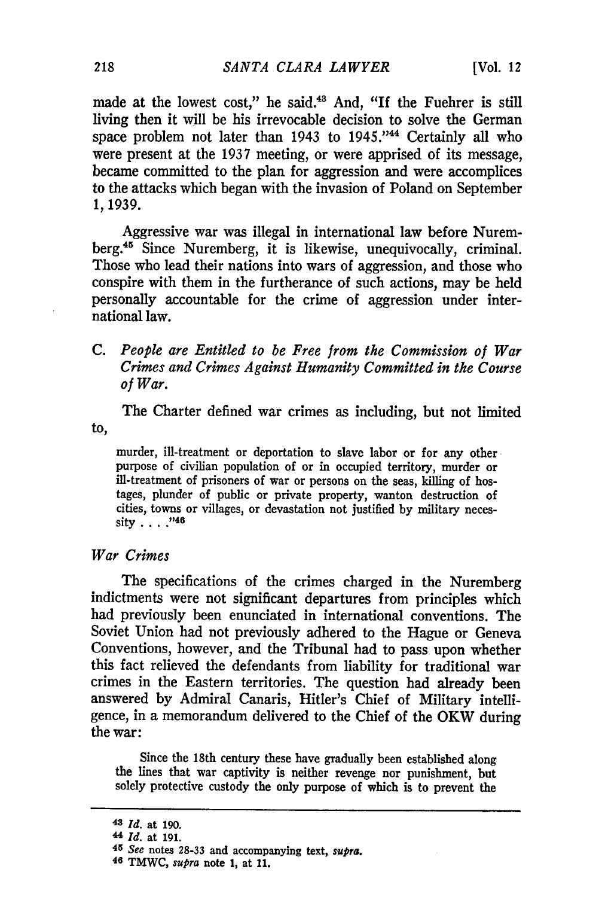made at the lowest cost," he said.<sup>43</sup> And, "If the Fuehrer is still living then it will be his irrevocable decision to solve the German space problem not later than 1943 to 1945."<sup>44</sup> Certainly all who were present at the 1937 meeting, or were apprised of its message, became committed to the plan for aggression and were accomplices to the attacks which began with the invasion of Poland on September **1,1939.**

Aggressive war was illegal in international law before Nuremberg.<sup>45</sup> Since Nuremberg, it is likewise, unequivocally, criminal. Those who lead their nations into wars of aggression, and those who conspire with them in the furtherance of such actions, may be held personally accountable for the crime of aggression under international law.

**C.** *People are Entitled to be Free from the Commission of War Crimes and Crimes Against Humanity Committed in the Course of War.*

The Charter defined war crimes as including, but not limited to,

murder, ill-treatment or deportation to slave labor or for any other purpose of civilian population of or in occupied territory, murder or ill-treatment of prisoners of war or persons on the seas, killing of hostages, plunder of public or private property, wanton destruction of cities, towns or villages, or devastation not justified **by** military necessity **.... 146**

#### *War Crimes*

The specifications of the crimes charged in the Nuremberg indictments were not significant departures from principles which had previously been enunciated in international conventions. The Soviet Union had not previously adhered to the Hague or Geneva Conventions, however, and the Tribunal had to pass upon whether this fact relieved the defendants from liability for traditional war crimes in the Eastern territories. The question had already been answered **by** Admiral Canaris, Hitler's Chief of Military intelligence, in a memorandum delivered to the Chief of the **OKW** during the war:

Since the 18th century these have gradually been established along the lines that war captivity is neither revenge nor punishment, but solely protective custody the only purpose of which is to prevent the

*<sup>48</sup> Id.* at 190.

<sup>44</sup> *Id.* at 191.

*<sup>45</sup> See* notes 28-33 **and** accompanying text, *supra.* 46 TMWC, *supra* **note 1, at 11.**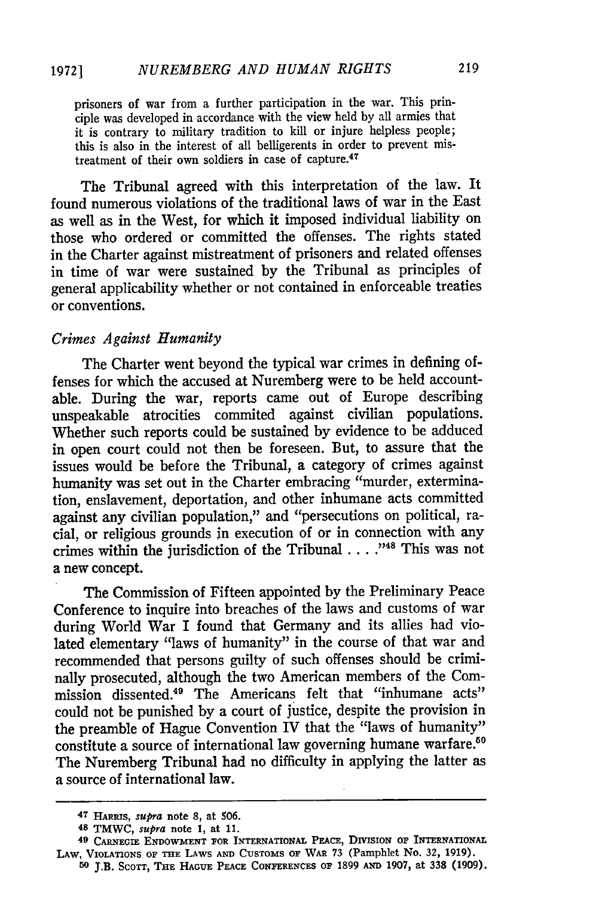prisoners of war from a further participation in the war. This principle was developed in accordance with the view held by all armies that it is contrary to military tradition to kill or injure helpless people; this is also in the interest of all belligerents in order to prevent mistreatment of their own soldiers in case of capture.<sup>47</sup>

The Tribunal agreed with this interpretation of the law. It found numerous violations of the traditional laws of war in the East as well as in the West, for which it imposed individual liability on those who ordered or committed the offenses. The rights stated in the Charter against mistreatment of prisoners and related offenses in time of war were sustained by the Tribunal as principles of general applicability whether or not contained in enforceable treaties or conventions.

#### *Crimes Against Humanity*

The Charter went beyond the typical war crimes in defining offenses for which the accused at Nuremberg were to be held accountable. During the war, reports came out of Europe describing unspeakable atrocities commited against civilian populations. Whether such reports could be sustained by evidence to be adduced in open court could not then be foreseen. But, to assure that the issues would be before the Tribunal, a category of crimes against humanity was set out in the Charter embracing "murder, extermination, enslavement, deportation, and other inhumane acts committed against any civilian population," and "persecutions on political, racial, or religious grounds in execution of or in connection with any crimes within the jurisdiction of the Tribunal . . . .<sup>748</sup> This was not a new concept.

The Commission of Fifteen appointed by the Preliminary Peace Conference to inquire into breaches of the laws and customs of war during World War I found that Germany and its allies had violated elementary "laws of humanity" in the course of that war and recommended that persons guilty of such offenses should be criminally prosecuted, although the two American members of the Commission dissented.49 The Americans felt that "inhumane acts" could not be punished by a court of justice, despite the provision in the preamble of Hague Convention IV that the "laws of humanity" constitute a source of international law governing humane warfare.<sup>50</sup> The Nuremberg Tribunal had no difficulty in applying the latter as a source of international law.

<sup>47</sup>HARRIS, *supra* **note 8, at 506.**

**<sup>48</sup> TMWC,** *supra* note **1, at 11.**

<sup>49</sup> CARNEGIE ENDOWMENT FOR INTERNATIONAL PEACE, DIVISION OF INTERNATIONAL LAW, VIOLATIONS **OF THE** LAWS **AND CUSTOMS** OF WAR **73** (Pamphlet No. **32, 1919).**

**<sup>50</sup>J.B.** ScOTT, **THE HAGUE PEACE** CONFERENCEs **OF 1899 AND 1907,** at **338 (1909).**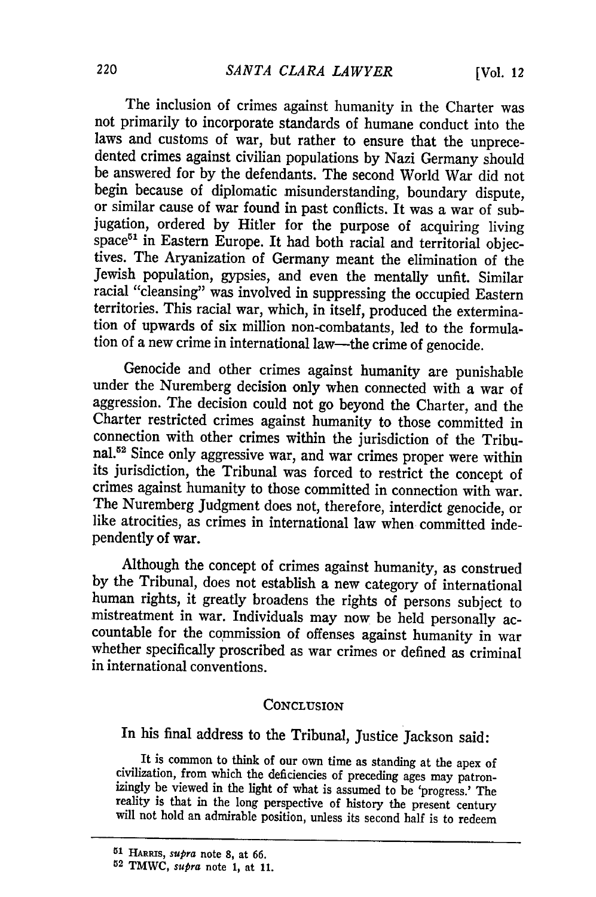The inclusion of crimes against humanity in the Charter was not primarily to incorporate standards of humane conduct into the dented crimes against civilian populations by Nazi Germany should be answered for by the defendants. The second World War did not begin because of diplomatic misunderstanding, boundary dispute, or similar cause of war found in past conflicts. It was a war of subjugation, ordered by Hitler for the purpose of acquiring living space<sup>51</sup> in Eastern Europe. It had both racial and territorial objectives. The Aryanization of Germany meant the elimination of the Jewish population, gypsies, and even the mentally unfit. Similar racial "cleansing" was involved in suppressing the occupied Eastern territories. This racial war, which, in itself, produced the extermination of upwards of six million non-combatants, led to the formulation of a new crime in international law-the crime of genocide.

Genocide and other crimes against humanity are punishable under the Nuremberg decision only when connected with a war of aggression. The decision could not go beyond the Charter, and the Charter restricted crimes against humanity to those committed in connection with other crimes within the jurisdiction of the Tribunal.5'2 Since only aggressive war, and war crimes proper were within its jurisdiction, the Tribunal was forced to restrict the concept of crimes against humanity to those committed in connection with war. The Nuremberg Judgment does not, therefore, interdict genocide, or like atrocities, as crimes in international law when committed independently of war.

Although the concept of crimes against humanity, as construed by the Tribunal, does not establish a new category of international human rights, it greatly broadens the rights of persons subject to mistreatment in war. Individuals may now be held personally accountable for the commission of offenses against humanity in war whether specifically proscribed as war crimes or defined as criminal in international conventions.

#### **CONCLUSION**

In his final address to the Tribunal, Justice Jackson said:

It is common to think of our own time as standing at the apex of civilization, from which the deficiencies of preceding ages may patron- izingly be viewed in the light of what is assumed to be 'progress.' The reality is that in the long perspective of history the present century will not hold an admirable position, unless its second half is to redeem

*<sup>51</sup>***HARS,** *supra* note **8,** at **66.**

**<sup>52</sup> TMWC,** *supra* note **1,** at **11.**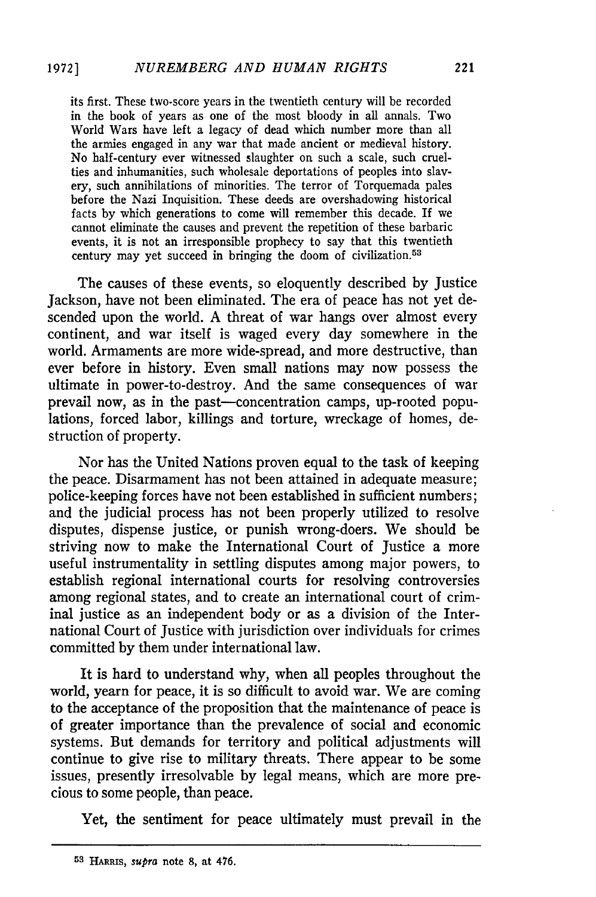its first. These two-score years in the twentieth century will be recorded in the book of years as one of the most bloody in all annals. Two World Wars have left a legacy of dead which number more than all the armies engaged in any war that made ancient or medieval history. No half-century ever witnessed slaughter on such a scale, such cruelties and inhumanities, such wholesale deportations of peoples into slavery, such annihilations of minorities. The terror of Torquemada pales before the Nazi Inquisition. These deeds are overshadowing historical facts by which generations to come will remember this decade. If we cannot eliminate the causes and prevent the repetition of these barbaric events, it is not an irresponsible prophecy to say that this twentieth century may yet succeed in bringing the doom of civilization. <sup>53</sup>

The causes of these events, so eloquently described by Justice Jackson, have not been eliminated. The era of peace has not yet descended upon the world. A threat of war hangs over almost every continent, and war itself is waged every day somewhere in the world. Armaments are more wide-spread, and more destructive, than ever before in history. Even small nations may now possess the ultimate in power-to-destroy. And the same consequences of war prevail now, as in the past-concentration camps, up-rooted populations, forced labor, killings and torture, wreckage of homes, destruction of property.

Nor has the United Nations proven equal to the task of keeping the peace. Disarmament has not been attained in adequate measure; police-keeping forces have not been established in sufficient numbers; and the judicial process has not been properly utilized to resolve disputes, dispense justice, or punish wrong-doers. We should be striving now to make the International Court of Justice a more useful instrumentality in settling disputes among major powers, to establish regional international courts for resolving controversies among regional states, and to create an international court of criminal justice as an independent body or as a division of the International Court of Justice with jurisdiction over individuals for crimes committed by them under international law.

It is hard to understand why, when all peoples throughout the world, yearn for peace, it is so difficult to avoid war. We are coming to the acceptance of the proposition that the maintenance of peace is of greater importance than the prevalence of social and economic systems. But demands for territory and political adjustments will continue to give rise to military threats. There appear to be some issues, presently irresolvable by legal means, which are more precious to some people, than peace.

Yet, the sentiment for peace ultimately must prevail in the